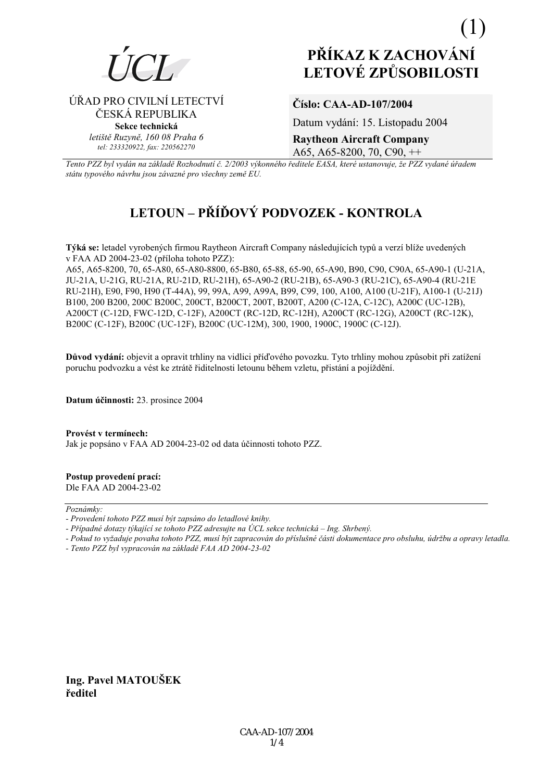

ÚŘAD PRO CIVILNÍ LETECTVÍ

ČESKÁ REPUBLIKA

Sekce technická letiště Ruzyně, 160 08 Praha 6

tel: 233320922, fax: 220562270

# PŘÍKAZ K ZACHOVÁNÍ **LETOVÉ ZPŮSOBILOSTI**

### Číslo: CAA-AD-107/2004

Datum vydání: 15. Listopadu 2004

**Raytheon Aircraft Company** A65, A65-8200, 70, C90,  $++$ 

Tento PZZ byl vydán na základě Rozhodnutí č. 2/2003 výkonného ředitele EASA, které ustanovuje, že PZZ vydané úřadem státu typového návrhu jsou závazné pro všechny země EU.

## LETOUN – PŘÍĎOVÝ PODVOZEK - KONTROLA

Týká se: letadel vyrobených firmou Raytheon Aircraft Company následujících typů a verzí blíže uvedených v FAA AD 2004-23-02 (příloha tohoto PZZ):

A65, A65-8200, 70, 65-A80, 65-A80-8800, 65-B80, 65-88, 65-90, 65-A90, B90, C90, C90A, 65-A90-1 (U-21A, JU-21A, U-21G, RU-21A, RU-21D, RU-21H), 65-A90-2 (RU-21B), 65-A90-3 (RU-21C), 65-A90-4 (RU-21E) RU-21H), E90, F90, H90 (T-44A), 99, 99A, A99, A99A, B99, C99, 100, A100, A100 (U-21F), A100-1 (U-21J) B100, 200 B200, 200C B200C, 200CT, B200CT, 200T, B200T, A200 (C-12A, C-12C), A200C (UC-12B), A200CT (C-12D, FWC-12D, C-12F), A200CT (RC-12D, RC-12H), A200CT (RC-12G), A200CT (RC-12K), B200C (C-12F), B200C (UC-12F), B200C (UC-12M), 300, 1900, 1900C, 1900C (C-12J).

Důvod vydání: objevit a opravit trhliny na vidlici příďového povozku. Tyto trhliny mohou způsobit při zatížení poruchu podvozku a vést ke ztrátě řiditelnosti letounu během vzletu, přistání a pojíždění.

Datum účinnosti: 23. prosince 2004

Provést v termínech:

Jak je popsáno v FAA AD 2004-23-02 od data účinnosti tohoto PZZ.

Postup provedení prací: Dle FAA AD 2004-23-02

Poznámky:

- Pokud to vyžaduje povaha tohoto PZZ, musí být zapracován do příslušné části dokumentace pro obsluhu, údržbu a opravy letadla.
- Tento PZZ byl vypracován na základě FAA AD 2004-23-02

Ing. Pavel MATOUŠEK ředitel

<sup>-</sup> Provedení tohoto PZZ musí být zapsáno do letadlové knihy.

<sup>-</sup> Případné dotazy týkající se tohoto PZZ adresujte na ÚCL sekce technická – Ing. Shrbený.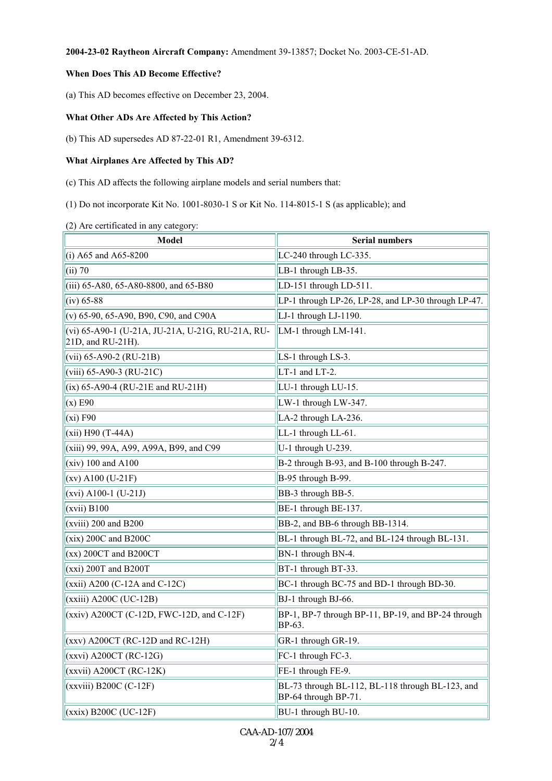#### **2004-23-02 Raytheon Aircraft Company:** Amendment 39-13857; Docket No. 2003-CE-51-AD.

#### **When Does This AD Become Effective?**

(a) This AD becomes effective on December 23, 2004.

#### **What Other ADs Are Affected by This Action?**

(b) This AD supersedes AD 87-22-01 R1, Amendment 39-6312.

#### **What Airplanes Are Affected by This AD?**

(c) This AD affects the following airplane models and serial numbers that:

(1) Do not incorporate Kit No. 1001-8030-1 S or Kit No. 114-8015-1 S (as applicable); and

(2) Are certificated in any category:

| <b>Model</b>                                                          | <b>Serial numbers</b>                                                    |  |
|-----------------------------------------------------------------------|--------------------------------------------------------------------------|--|
| (i) A65 and A65-8200                                                  | LC-240 through LC-335.                                                   |  |
| $(iii)$ 70                                                            | LB-1 through LB-35.                                                      |  |
| $(iii)$ 65-A80, 65-A80-8800, and 65-B80                               | LD-151 through LD-511.                                                   |  |
| $(iv) 65-88$                                                          | LP-1 through LP-26, LP-28, and LP-30 through LP-47.                      |  |
| (v) $65-90$ , $65-A90$ , $B90$ , $C90$ , and $C90A$                   | LJ-1 through LJ-1190.                                                    |  |
| (vi) 65-A90-1 (U-21A, JU-21A, U-21G, RU-21A, RU-<br>21D, and RU-21H). | LM-1 through LM-141.                                                     |  |
| $(vii)$ 65-A90-2 (RU-21B)                                             | LS-1 through LS-3.                                                       |  |
| $(viii) 65-A90-3 (RU-21C)$                                            | LT-1 and LT-2.                                                           |  |
| $(x)$ 65-A90-4 (RU-21E and RU-21H)                                    | LU-1 through LU-15.                                                      |  |
| $(x)$ E90                                                             | LW-1 through LW-347.                                                     |  |
| (xi) F90                                                              | LA-2 through LA-236.                                                     |  |
| $(xii)$ H90 (T-44A)                                                   | LL-1 through LL-61.                                                      |  |
| (xiii) 99, 99A, A99, A99A, B99, and C99                               | U-1 through U-239.                                                       |  |
| $(xiv)$ 100 and A100                                                  | B-2 through B-93, and B-100 through B-247.                               |  |
| $(xv)$ A100 (U-21F)                                                   | B-95 through B-99.                                                       |  |
| $(xvi)$ A100-1 (U-21J)                                                | BB-3 through BB-5.                                                       |  |
| $(xvii)$ B <sub>100</sub>                                             | BE-1 through BE-137.                                                     |  |
| $(xviii)$ 200 and B200                                                | BB-2, and BB-6 through BB-1314.                                          |  |
| $(xix)$ 200C and B200C                                                | BL-1 through BL-72, and BL-124 through BL-131.                           |  |
| $(xx)$ 200CT and B200CT                                               | BN-1 through BN-4.                                                       |  |
| $(xxi)$ 200T and B200T                                                | BT-1 through BT-33.                                                      |  |
| $(xxii)$ A200 (C-12A and C-12C)                                       | BC-1 through BC-75 and BD-1 through BD-30.                               |  |
| (xxiii) A200C (UC-12B)                                                | BJ-1 through BJ-66.                                                      |  |
| $(xxiv)$ A200CT (C-12D, FWC-12D, and C-12F)                           | BP-1, BP-7 through BP-11, BP-19, and BP-24 through<br>BP-63.             |  |
| $(xxy)$ A200CT (RC-12D and RC-12H)                                    | GR-1 through GR-19.                                                      |  |
| $(xxyi)$ A200CT (RC-12G)                                              | FC-1 through FC-3.                                                       |  |
| $(xxvii)$ A200CT $(RC-12K)$                                           | FE-1 through FE-9.                                                       |  |
| $(xxviii) B200C (C-12F)$                                              | BL-73 through BL-112, BL-118 through BL-123, and<br>BP-64 through BP-71. |  |
| $(xxix)$ B200C (UC-12F)                                               | BU-1 through BU-10.                                                      |  |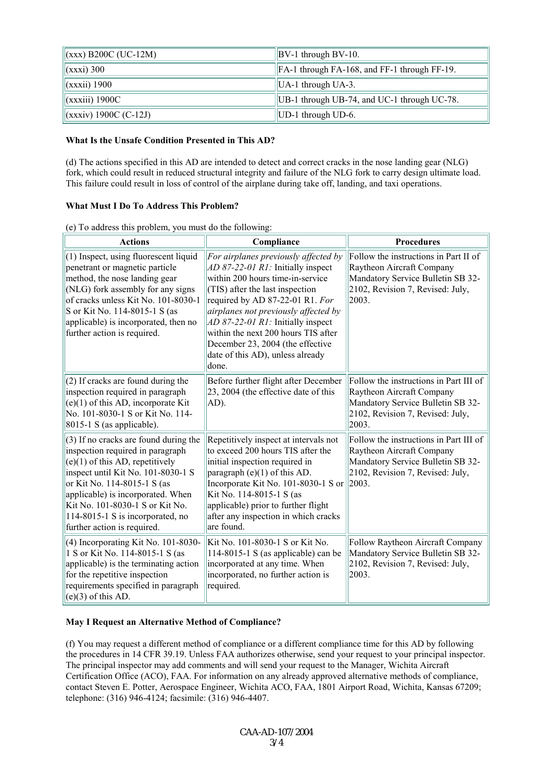| $\ $ (xxx) B200C (UC-12M)  | $\parallel$ BV-1 through BV-10.                         |  |
|----------------------------|---------------------------------------------------------|--|
| $\ $ (xxxi) 300            | $\vert$ FA-1 through FA-168, and FF-1 through FF-19.    |  |
| $\ $ (xxxii) 1900          | $\vert$ UA-1 through UA-3.                              |  |
| $\ $ (xxxiii) 1900C        | $\parallel$ UB-1 through UB-74, and UC-1 through UC-78. |  |
| $\ $ (xxxiv) 1900C (C-12J) | $ UD-1 $ through $UD-6$ .                               |  |

#### **What Is the Unsafe Condition Presented in This AD?**

(d) The actions specified in this AD are intended to detect and correct cracks in the nose landing gear (NLG) fork, which could result in reduced structural integrity and failure of the NLG fork to carry design ultimate load. This failure could result in loss of control of the airplane during take off, landing, and taxi operations.

#### **What Must I Do To Address This Problem?**

(e) To address this problem, you must do the following:

| <b>Actions</b>                                                                                                                                                                                                                                                                                                                 | Compliance                                                                                                                                                                                                                                                                                                                                                                                  | <b>Procedures</b>                                                                                                                                      |
|--------------------------------------------------------------------------------------------------------------------------------------------------------------------------------------------------------------------------------------------------------------------------------------------------------------------------------|---------------------------------------------------------------------------------------------------------------------------------------------------------------------------------------------------------------------------------------------------------------------------------------------------------------------------------------------------------------------------------------------|--------------------------------------------------------------------------------------------------------------------------------------------------------|
| (1) Inspect, using fluorescent liquid<br>penetrant or magnetic particle<br>method, the nose landing gear<br>(NLG) fork assembly for any signs<br>of cracks unless Kit No. 101-8030-1<br>S or Kit No. 114-8015-1 S (as<br>applicable) is incorporated, then no<br>further action is required.                                   | For airplanes previously affected by<br>AD 87-22-01 R1: Initially inspect<br>within 200 hours time-in-service<br>(TIS) after the last inspection<br>required by AD 87-22-01 R1. For<br>airplanes not previously affected by<br>$AD 87-22-01 R1$ : Initially inspect<br>within the next 200 hours TIS after<br>December 23, 2004 (the effective<br>date of this AD), unless already<br>done. | Follow the instructions in Part II of<br>Raytheon Aircraft Company<br>Mandatory Service Bulletin SB 32-<br>2102, Revision 7, Revised: July,<br>2003.   |
| (2) If cracks are found during the<br>inspection required in paragraph<br>$(e)(1)$ of this AD, incorporate Kit<br>No. 101-8030-1 S or Kit No. 114-<br>$\vert 8015-1 \rangle$ S (as applicable).                                                                                                                                | Before further flight after December<br>23, 2004 (the effective date of this<br>$AD$ ).                                                                                                                                                                                                                                                                                                     | Follow the instructions in Part III of<br>Raytheon Aircraft Company<br>Mandatory Service Bulletin SB 32-<br>2102, Revision 7, Revised: July,<br>2003.  |
| (3) If no cracks are found during the<br>inspection required in paragraph<br>$(e)(1)$ of this AD, repetitively<br>inspect until Kit No. 101-8030-1 S<br>or Kit No. 114-8015-1 S (as<br>applicable) is incorporated. When<br>Kit No. 101-8030-1 S or Kit No.<br>114-8015-1 S is incorporated, no<br>further action is required. | Repetitively inspect at intervals not<br>to exceed 200 hours TIS after the<br>initial inspection required in<br>paragraph $(e)(1)$ of this AD.<br>Incorporate Kit No. 101-8030-1 S or<br>Kit No. 114-8015-1 S (as<br>applicable) prior to further flight<br>after any inspection in which cracks<br>are found.                                                                              | Follow the instructions in Part III of<br>Raytheon Aircraft Company<br>Mandatory Service Bulletin SB 32-<br>2102, Revision 7, Revised: July,<br> 2003. |
| (4) Incorporating Kit No. 101-8030-<br>1 S or Kit No. 114-8015-1 S (as<br>applicable) is the terminating action<br>for the repetitive inspection<br>requirements specified in paragraph<br>$(e)(3)$ of this AD.                                                                                                                | Kit No. 101-8030-1 S or Kit No.<br>114-8015-1 S (as applicable) can be<br>incorporated at any time. When<br>incorporated, no further action is<br>required.                                                                                                                                                                                                                                 | Follow Raytheon Aircraft Company<br>Mandatory Service Bulletin SB 32-<br>2102, Revision 7, Revised: July,<br>2003.                                     |

#### **May I Request an Alternative Method of Compliance?**

(f) You may request a different method of compliance or a different compliance time for this AD by following the procedures in 14 CFR 39.19. Unless FAA authorizes otherwise, send your request to your principal inspector. The principal inspector may add comments and will send your request to the Manager, Wichita Aircraft Certification Office (ACO), FAA. For information on any already approved alternative methods of compliance, contact Steven E. Potter, Aerospace Engineer, Wichita ACO, FAA, 1801 Airport Road, Wichita, Kansas 67209; telephone: (316) 946-4124; facsimile: (316) 946-4407.